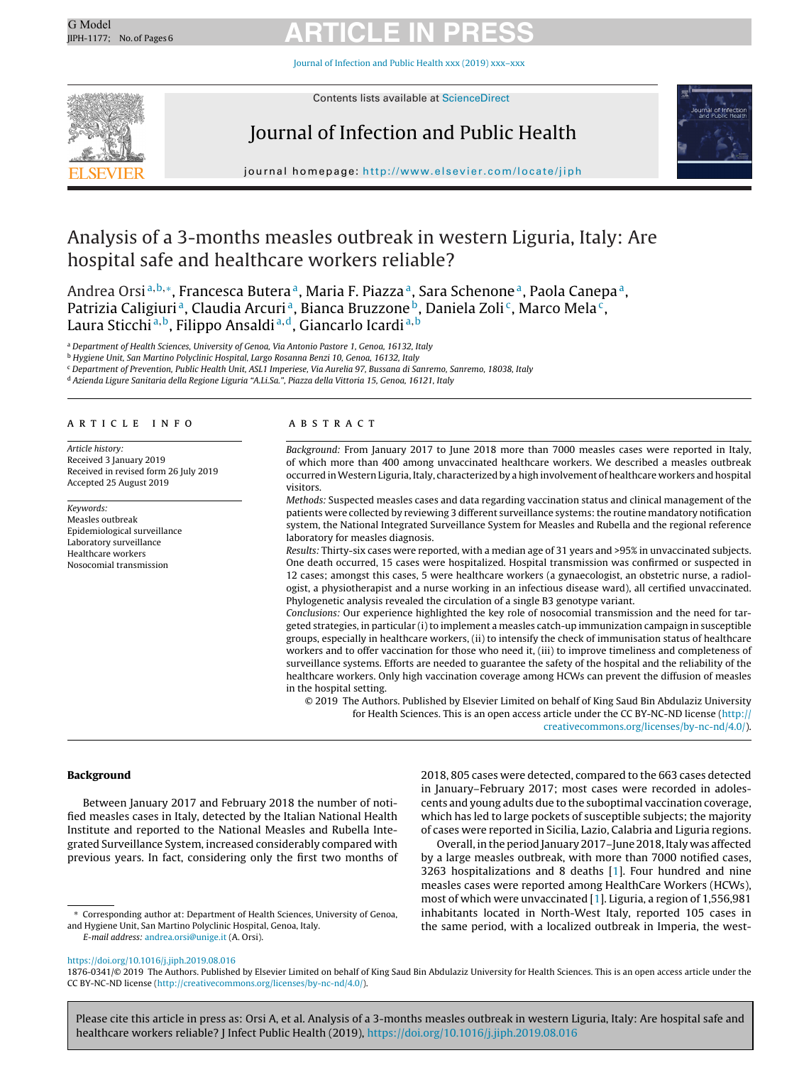Journal of [Infection](https://doi.org/10.1016/j.jiph.2019.08.016) and Public Health xxx (2019) xxx–xxx



Contents lists available at [ScienceDirect](http://www.sciencedirect.com/science/journal/aip/18760341)

# Journal of Infection and Public Health



journal homepage: <http://www.elsevier.com/locate/jiph>

# Analysis of a 3-months measles outbreak in western Liguria, Italy: Are hospital safe and healthcare workers reliable?

Andrea Orsi<sup>a, b,</sup>\*, Francesca Butera<sup>a</sup>, Maria F. Piazza<sup>a</sup>, Sara Schenone<sup>a</sup>, Paola Canepa<sup>a</sup>, Patrizia Caligiuria, Claudia Arcuria, Bianca Bruzzoneb, Daniela Zolic, Marco Melac, Laura Sticchi<sup>a,b</sup>, Filippo Ansaldi<sup>a,d</sup>, Giancarlo Icardi<sup>a,b</sup>

<sup>a</sup> Department of Health Sciences, University of Genoa, Via Antonio Pastore 1, Genoa, 16132, Italy

<sup>b</sup> Hygiene Unit, San Martino Polyclinic Hospital, Largo Rosanna Benzi 10, Genoa, 16132, Italy

<sup>c</sup> Department of Prevention, Public Health Unit, ASL1 Imperiese, Via Aurelia 97, Bussana di Sanremo, Sanremo, 18038, Italy

<sup>d</sup> Azienda Ligure Sanitaria della Regione Liguria "A.Li.Sa.", Piazza della Vittoria 15, Genoa, 16121, Italy

#### a r t i c l e i n f o

Article history: Received 3 January 2019 Received in revised form 26 July 2019 Accepted 25 August 2019

Keywords: Measles outbreak Epidemiological surveillance Laboratory surveillance Healthcare workers Nosocomial transmission

#### A B S T R A C T

Background: From January 2017 to June 2018 more than 7000 measles cases were reported in Italy, of which more than 400 among unvaccinated healthcare workers. We described a measles outbreak occurred inWestern Liguria, Italy, characterized by a high involvement of healthcare workers and hospital visitors.

Methods: Suspected measles cases and data regarding vaccination status and clinical management of the patients were collected by reviewing 3 different surveillance systems: the routine mandatory notification system, the National Integrated Surveillance System for Measles and Rubella and the regional reference laboratory for measles diagnosis.

Results: Thirty-six cases were reported, with a median age of 31 years and >95% in unvaccinated subjects. One death occurred, 15 cases were hospitalized. Hospital transmission was confirmed or suspected in 12 cases; amongst this cases, 5 were healthcare workers (a gynaecologist, an obstetric nurse, a radiologist, a physiotherapist and a nurse working in an infectious disease ward), all certified unvaccinated. Phylogenetic analysis revealed the circulation of a single B3 genotype variant.

Conclusions: Our experience highlighted the key role of nosocomial transmission and the need for targeted strategies, in particular (i) to implement a measles catch-up immunization campaign in susceptible groups, especially in healthcare workers, (ii) to intensify the check of immunisation status of healthcare workers and to offer vaccination for those who need it, (iii) to improve timeliness and completeness of surveillance systems. Efforts are needed to guarantee the safety of the hospital and the reliability of the healthcare workers. Only high vaccination coverage among HCWs can prevent the diffusion of measles in the hospital setting.

© 2019 The Authors. Published by Elsevier Limited on behalf of King Saud Bin Abdulaziz University for Health Sciences. This is an open access article under the CC BY-NC-ND license [\(http://](http://creativecommons.org/licenses/by-nc-nd/4.0/)

[creativecommons.org/licenses/by-nc-nd/4.0/](http://creativecommons.org/licenses/by-nc-nd/4.0/)).

#### **Background**

Between January 2017 and February 2018 the number of notified measles cases in Italy, detected by the Italian National Health Institute and reported to the National Measles and Rubella Integrated Surveillance System, increased considerably compared with previous years. In fact, considering only the first two months of

Corresponding author at: Department of Health Sciences, University of Genoa, and Hygiene Unit, San Martino Polyclinic Hospital, Genoa, Italy. E-mail address: [andrea.orsi@unige.it](mailto:andrea.orsi@unige.it) (A. Orsi).

2018, 805 cases were detected, compared to the 663 cases detected in January–February 2017; most cases were recorded in adolescents and young adults due to the suboptimal vaccination coverage, which has led to large pockets of susceptible subjects; the majority of cases were reported in Sicilia, Lazio, Calabria and Liguria regions.

Overall, in the period January 2017–June 2018, Italy was affected by a large measles outbreak, with more than 7000 notified cases, 3263 hospitalizations and 8 deaths [\[1\].](#page-4-0) Four hundred and nine measles cases were reported among HealthCare Workers (HCWs), most of which were unvaccinated [[1\].](#page-4-0) Liguria, a region of 1,556,981 inhabitants located in North-West Italy, reported 105 cases in the same period, with a localized outbreak in Imperia, the west-

<https://doi.org/10.1016/j.jiph.2019.08.016>

1876-0341/© 2019 The Authors. Published by Elsevier Limited on behalf of King Saud Bin Abdulaziz University for Health Sciences. This is an open access article under the CC BY-NC-ND license [\(http://creativecommons.org/licenses/by-nc-nd/4.0/\)](http://creativecommons.org/licenses/by-nc-nd/4.0/).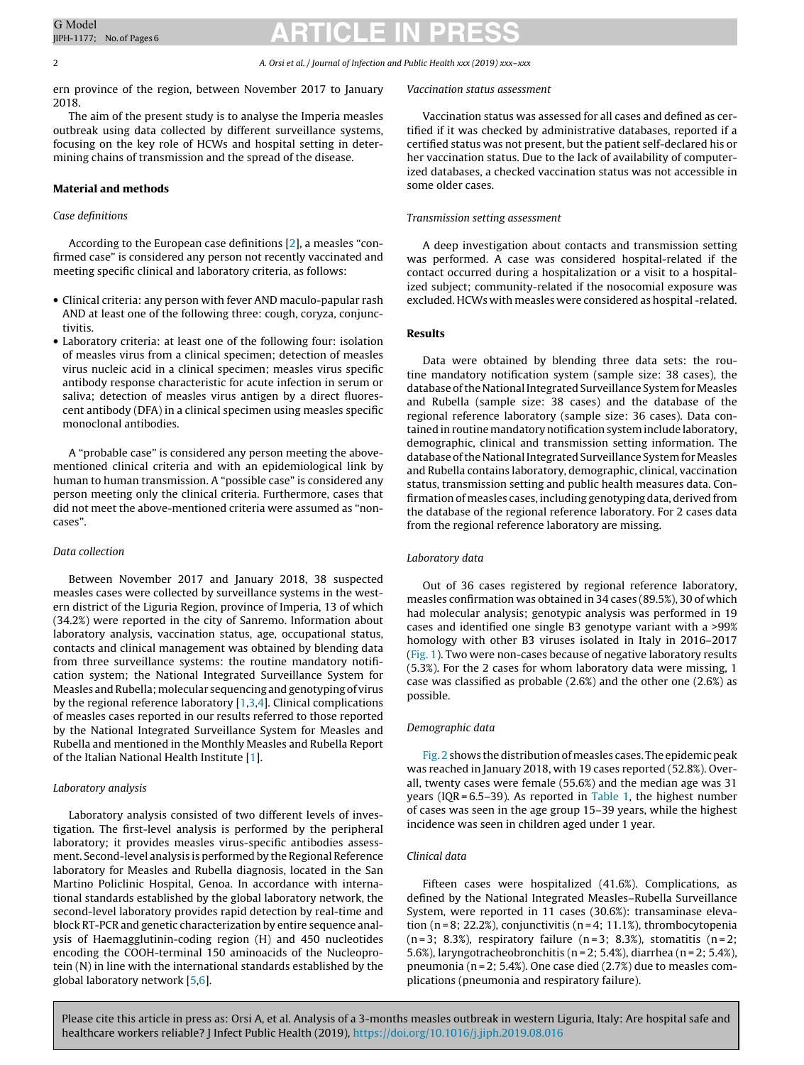2 A. Orsi et al. / Journal of Infection and Public Health xxx (2019) xxx–xxx

ern province of the region, between November 2017 to January 2018.

The aim of the present study is to analyse the Imperia measles outbreak using data collected by different surveillance systems, focusing on the key role of HCWs and hospital setting in determining chains of transmission and the spread of the disease.

# **Material and methods**

# Case definitions

According to the European case definitions [[2\],](#page-4-0) a measles "confirmed case" is considered any person not recently vaccinated and meeting specific clinical and laboratory criteria, as follows:

- Clinical criteria: any person with fever AND maculo-papular rash AND at least one of the following three: cough, coryza, conjunctivitis.
- Laboratory criteria: at least one of the following four: isolation of measles virus from a clinical specimen; detection of measles virus nucleic acid in a clinical specimen; measles virus specific antibody response characteristic for acute infection in serum or saliva; detection of measles virus antigen by a direct fluorescent antibody (DFA) in a clinical specimen using measles specific monoclonal antibodies.

A "probable case" is considered any person meeting the abovementioned clinical criteria and with an epidemiological link by human to human transmission. A "possible case" is considered any person meeting only the clinical criteria. Furthermore, cases that did not meet the above-mentioned criteria were assumed as "noncases".

# Data collection

Between November 2017 and January 2018, 38 suspected measles cases were collected by surveillance systems in the western district of the Liguria Region, province of Imperia, 13 of which (34.2%) were reported in the city of Sanremo. Information about laboratory analysis, vaccination status, age, occupational status, contacts and clinical management was obtained by blending data from three surveillance systems: the routine mandatory notification system; the National Integrated Surveillance System for Measles and Rubella; molecular sequencing and genotyping of virus by the regional reference laboratory  $[1,3,4]$ . Clinical complications of measles cases reported in our results referred to those reported by the National Integrated Surveillance System for Measles and Rubella and mentioned in the Monthly Measles and Rubella Report of the Italian National Health Institute [[1\].](#page-4-0)

# Laboratory analysis

Laboratory analysis consisted of two different levels of investigation. The first-level analysis is performed by the peripheral laboratory; it provides measles virus-specific antibodies assessment. Second-level analysis is performed by the Regional Reference laboratory for Measles and Rubella diagnosis, located in the San Martino Policlinic Hospital, Genoa. In accordance with international standards established by the global laboratory network, the second-level laboratory provides rapid detection by real-time and block RT-PCR and genetic characterization by entire sequence analysis of Haemagglutinin-coding region (H) and 450 nucleotides encoding the COOH-terminal 150 aminoacids of the Nucleoprotein (N) in line with the international standards established by the global laboratory network [\[5,6\].](#page-5-0)

#### Vaccination status assessment

Vaccination status was assessed for all cases and defined as certified if it was checked by administrative databases, reported if a certified status was not present, but the patient self-declared his or her vaccination status. Due to the lack of availability of computerized databases, a checked vaccination status was not accessible in some older cases.

### Transmission setting assessment

A deep investigation about contacts and transmission setting was performed. A case was considered hospital-related if the contact occurred during a hospitalization or a visit to a hospitalized subject; community-related if the nosocomial exposure was excluded. HCWs with measles were considered as hospital -related.

#### **Results**

Data were obtained by blending three data sets: the routine mandatory notification system (sample size: 38 cases), the database of the National Integrated Surveillance System for Measles and Rubella (sample size: 38 cases) and the database of the regional reference laboratory (sample size: 36 cases). Data contained in routine mandatory notification system include laboratory, demographic, clinical and transmission setting information. The database of the National Integrated Surveillance System for Measles and Rubella contains laboratory, demographic, clinical, vaccination status, transmission setting and public health measures data. Confirmation of measles cases, including genotyping data, derived from the database of the regional reference laboratory. For 2 cases data from the regional reference laboratory are missing.

# Laboratory data

Out of 36 cases registered by regional reference laboratory, measles confirmation was obtained in 34 cases (89.5%), 30 of which had molecular analysis; genotypic analysis was performed in 19 cases and identified one single B3 genotype variant with a >99% homology with other B3 viruses isolated in Italy in 2016–2017 [\(Fig.](#page-2-0) 1). Two were non-cases because of negative laboratory results (5.3%). For the 2 cases for whom laboratory data were missing, 1 case was classified as probable (2.6%) and the other one (2.6%) as possible.

# Demographic data

[Fig.](#page-3-0) 2 shows the distribution of measles cases. The epidemic peak was reached in January 2018, with 19 cases reported (52.8%). Overall, twenty cases were female (55.6%) and the median age was 31 years (IQR =  $6.5-39$ ). As reported in [Table](#page-3-0) 1, the highest number of cases was seen in the age group 15–39 years, while the highest incidence was seen in children aged under 1 year.

# Clinical data

Fifteen cases were hospitalized (41.6%). Complications, as defined by the National Integrated Measles–Rubella Surveillance System, were reported in 11 cases (30.6%): transaminase elevation (n = 8; 22.2%), conjunctivitis (n = 4; 11.1%), thrombocytopenia  $(n=3; 8.3\%)$ , respiratory failure  $(n=3; 8.3\%)$ , stomatitis  $(n=2;$ 5.6%), laryngotracheobronchitis (n = 2; 5.4%), diarrhea (n = 2; 5.4%), pneumonia (n = 2; 5.4%). One case died (2.7%) due to measles complications (pneumonia and respiratory failure).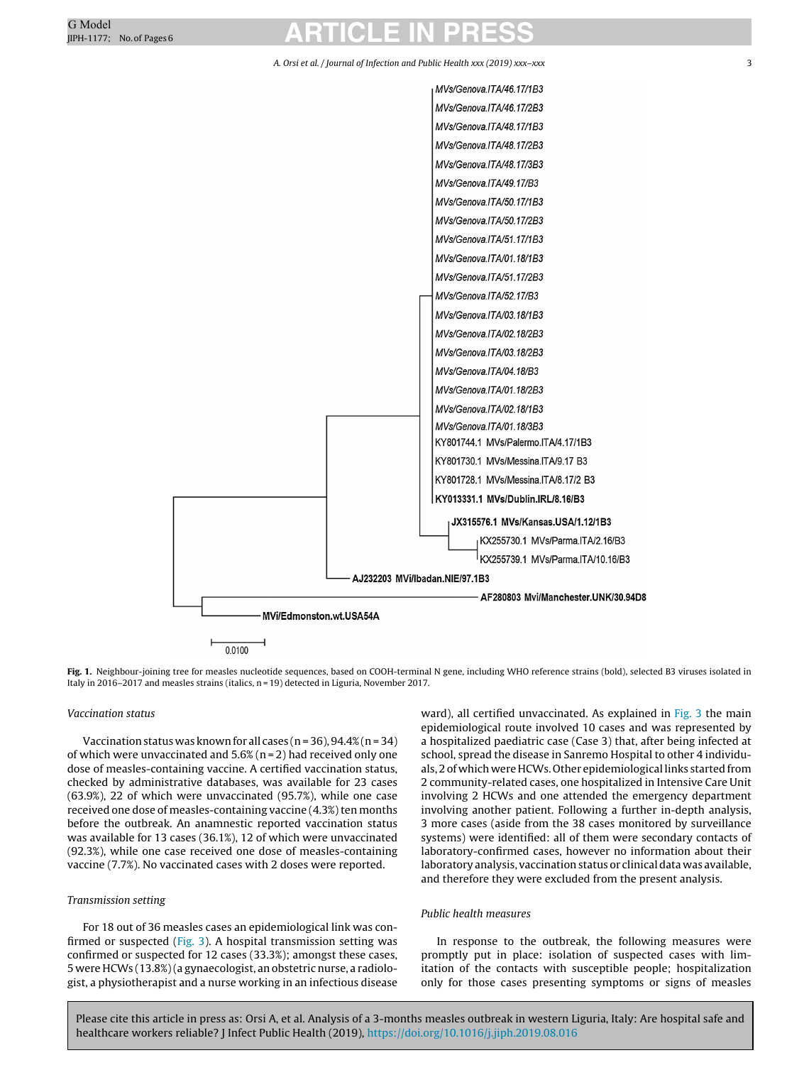A. Orsi et al. / Journal of Infection and Public Health xxx (2019) xxx–xxx 33

<span id="page-2-0"></span>

Fig. 1. Neighbour-joining tree for measles nucleotide sequences, based on COOH-terminal N gene, including WHO reference strains (bold), selected B3 viruses isolated in Italy in 2016–2017 and measles strains (italics, n = 19) detected in Liguria, November 2017.

### Vaccination status

Vaccination status was known for all cases ( $n = 36$ ),  $94.4\%$  ( $n = 34$ ) of which were unvaccinated and 5.6% (n = 2) had received only one dose of measles-containing vaccine. A certified vaccination status, checked by administrative databases, was available for 23 cases (63.9%), 22 of which were unvaccinated (95.7%), while one case received one dose of measles-containing vaccine (4.3%) ten months before the outbreak. An anamnestic reported vaccination status was available for 13 cases (36.1%), 12 of which were unvaccinated (92.3%), while one case received one dose of measles-containing vaccine (7.7%). No vaccinated cases with 2 doses were reported.

#### Transmission setting

For 18 out of 36 measles cases an epidemiological link was confirmed or suspected [\(Fig.](#page-3-0) 3). A hospital transmission setting was confirmed or suspected for 12 cases (33.3%); amongst these cases, 5 were HCWs (13.8%)(a gynaecologist, an obstetric nurse, a radiologist, a physiotherapist and a nurse working in an infectious disease ward), all certified unvaccinated. As explained in [Fig.](#page-3-0) 3 the main epidemiological route involved 10 cases and was represented by a hospitalized paediatric case (Case 3) that, after being infected at school, spread the disease in Sanremo Hospital to other 4 individuals, 2 of which were HCWs. Other epidemiological links started from 2 community-related cases, one hospitalized in Intensive Care Unit involving 2 HCWs and one attended the emergency department involving another patient. Following a further in-depth analysis, 3 more cases (aside from the 38 cases monitored by surveillance systems) were identified: all of them were secondary contacts of laboratory-confirmed cases, however no information about their laboratory analysis, vaccination status or clinical data was available, and therefore they were excluded from the present analysis.

#### Public health measures

In response to the outbreak, the following measures were promptly put in place: isolation of suspected cases with limitation of the contacts with susceptible people; hospitalization only for those cases presenting symptoms or signs of measles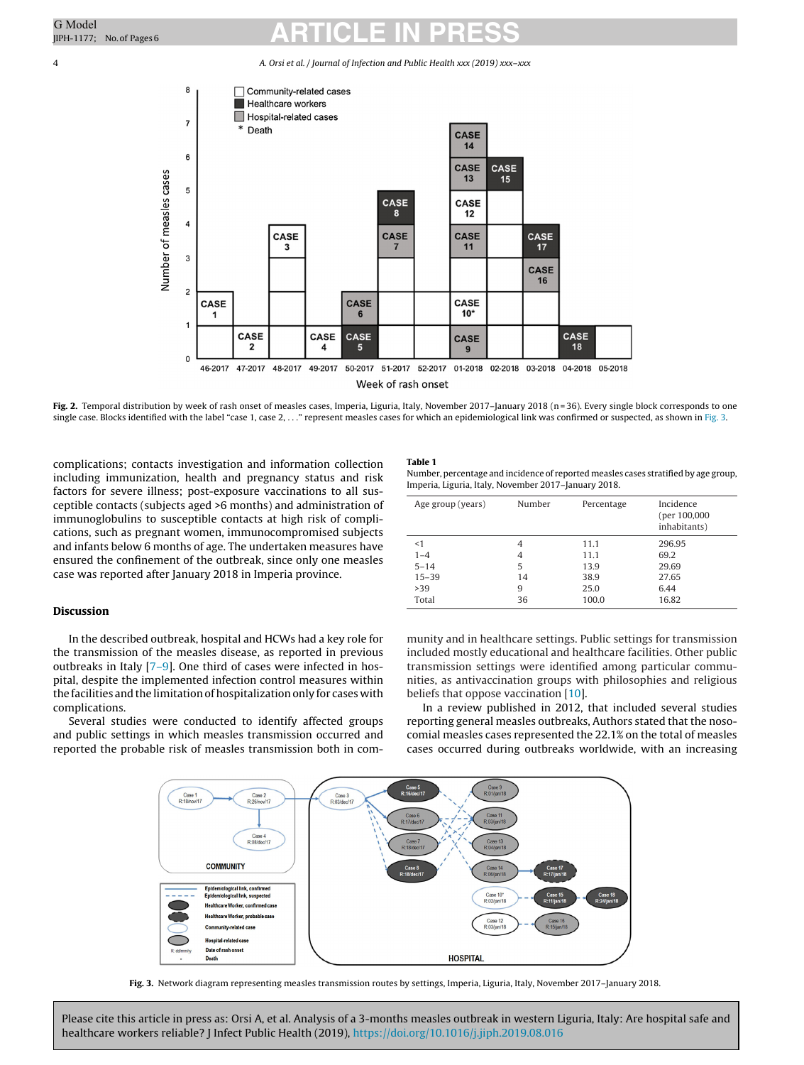<span id="page-3-0"></span>4 A. Orsi et al. / Journal of Infection and Public Health xxx (2019) xxx–xxx



Fig. 2. Temporal distribution by week of rash onset of measles cases, Imperia, Liguria, Italy, November 2017-January 2018 (n = 36). Every single block corresponds to one single case. Blocks identified with the label "case 1, case 2, ..." represent measles cases for which an epidemiological link was confirmed or suspected, as shown in Fig. 3.

complications; contacts investigation and information collection including immunization, health and pregnancy status and risk factors for severe illness; post-exposure vaccinations to all susceptible contacts (subjects aged >6 months) and administration of immunoglobulins to susceptible contacts at high risk of complications, such as pregnant women, immunocompromised subjects and infants below 6 months of age. The undertaken measures have ensured the confinement of the outbreak, since only one measles case was reported after January 2018 in Imperia province.

#### **Discussion**

In the described outbreak, hospital and HCWs had a key role for the transmission of the measles disease, as reported in previous outbreaks in Italy [[7–9\].](#page-5-0) One third of cases were infected in hospital, despite the implemented infection control measures within the facilities and the limitation of hospitalization only for cases with complications.

Several studies were conducted to identify affected groups and public settings in which measles transmission occurred and reported the probable risk of measles transmission both in com**Table 1**

Number, percentage and incidence of reported measles cases stratified by age group, Imperia, Liguria, Italy, November 2017–January 2018.

| Age group (years) | Number | Percentage | Incidence<br>(per 100,000<br>inhabitants) |
|-------------------|--------|------------|-------------------------------------------|
| <1                | 4      | 11.1       | 296.95                                    |
| $1 - 4$           | 4      | 11.1       | 69.2                                      |
| $5 - 14$          | 5      | 13.9       | 29.69                                     |
| $15 - 39$         | 14     | 38.9       | 27.65                                     |
| >39               | 9      | 25.0       | 6.44                                      |
| Total             | 36     | 100.0      | 16.82                                     |

munity and in healthcare settings. Public settings for transmission included mostly educational and healthcare facilities. Other public transmission settings were identified among particular communities, as antivaccination groups with philosophies and religious beliefs that oppose vaccination [\[10\].](#page-5-0)

In a review published in 2012, that included several studies reporting general measles outbreaks, Authors stated that the nosocomial measles cases represented the 22.1% on the total of measles cases occurred during outbreaks worldwide, with an increasing



**Fig. 3.** Network diagram representing measles transmission routes by settings, Imperia, Liguria, Italy, November 2017–January 2018.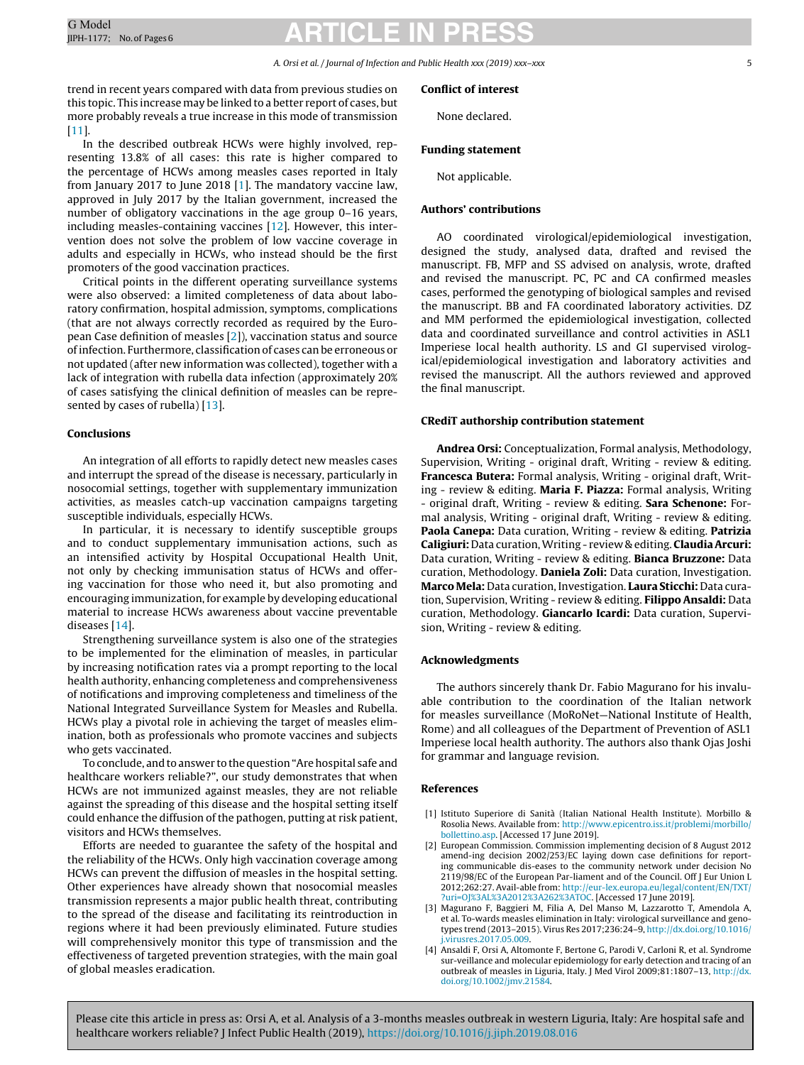#### A. Orsi et al. / Journal of Infection and Public Health xxx (2019) xxx–xxx 5

<span id="page-4-0"></span>trend in recent years compared with data from previous studies on this topic. This increase may be linked to a better report of cases, but more probably reveals a true increase in this mode of transmission [[11\].](#page-5-0)

In the described outbreak HCWs were highly involved, representing 13.8% of all cases: this rate is higher compared to the percentage of HCWs among measles cases reported in Italy from January 2017 to June 2018 [1]. The mandatory vaccine law, approved in July 2017 by the Italian government, increased the number of obligatory vaccinations in the age group 0–16 years, including measles-containing vaccines [[12\].](#page-5-0) However, this intervention does not solve the problem of low vaccine coverage in adults and especially in HCWs, who instead should be the first promoters of the good vaccination practices.

Critical points in the different operating surveillance systems were also observed: a limited completeness of data about laboratory confirmation, hospital admission, symptoms, complications (that are not always correctly recorded as required by the European Case definition of measles [2]), vaccination status and source ofinfection. Furthermore, classification of cases can be erroneous or not updated (after new information was collected), together with a lack of integration with rubella data infection (approximately 20% of cases satisfying the clinical definition of measles can be repre-sented by cases of rubella) [\[13\].](#page-5-0)

#### **Conclusions**

An integration of all efforts to rapidly detect new measles cases and interrupt the spread of the disease is necessary, particularly in nosocomial settings, together with supplementary immunization activities, as measles catch-up vaccination campaigns targeting susceptible individuals, especially HCWs.

In particular, it is necessary to identify susceptible groups and to conduct supplementary immunisation actions, such as an intensified activity by Hospital Occupational Health Unit, not only by checking immunisation status of HCWs and offering vaccination for those who need it, but also promoting and encouraging immunization, for example by developing educational material to increase HCWs awareness about vaccine preventable diseases [\[14\].](#page-5-0)

Strengthening surveillance system is also one of the strategies to be implemented for the elimination of measles, in particular by increasing notification rates via a prompt reporting to the local health authority, enhancing completeness and comprehensiveness of notifications and improving completeness and timeliness of the National Integrated Surveillance System for Measles and Rubella. HCWs play a pivotal role in achieving the target of measles elimination, both as professionals who promote vaccines and subjects who gets vaccinated.

To conclude, and to answer to the question "Are hospital safe and healthcare workers reliable?", our study demonstrates that when HCWs are not immunized against measles, they are not reliable against the spreading of this disease and the hospital setting itself could enhance the diffusion of the pathogen, putting at risk patient, visitors and HCWs themselves.

Efforts are needed to guarantee the safety of the hospital and the reliability of the HCWs. Only high vaccination coverage among HCWs can prevent the diffusion of measles in the hospital setting. Other experiences have already shown that nosocomial measles transmission represents a major public health threat, contributing to the spread of the disease and facilitating its reintroduction in regions where it had been previously eliminated. Future studies will comprehensively monitor this type of transmission and the effectiveness of targeted prevention strategies, with the main goal of global measles eradication.

#### **Conflict of interest**

None declared.

### **Funding statement**

Not applicable.

#### **Authors' contributions**

AO coordinated virological/epidemiological investigation, designed the study, analysed data, drafted and revised the manuscript. FB, MFP and SS advised on analysis, wrote, drafted and revised the manuscript. PC, PC and CA confirmed measles cases, performed the genotyping of biological samples and revised the manuscript. BB and FA coordinated laboratory activities. DZ and MM performed the epidemiological investigation, collected data and coordinated surveillance and control activities in ASL1 Imperiese local health authority. LS and GI supervised virological/epidemiological investigation and laboratory activities and revised the manuscript. All the authors reviewed and approved the final manuscript.

#### **CRediT authorship contribution statement**

**Andrea Orsi:** Conceptualization, Formal analysis, Methodology, Supervision, Writing - original draft, Writing - review & editing. **Francesca Butera:** Formal analysis, Writing - original draft, Writing - review & editing. **Maria F. Piazza:** Formal analysis, Writing - original draft, Writing - review & editing. **Sara Schenone:** Formal analysis, Writing - original draft, Writing - review & editing. **Paola Canepa:** Data curation, Writing - review & editing. **Patrizia Caligiuri:** Data curation,Writing - review & editing. **ClaudiaArcuri:** Data curation, Writing - review & editing. **Bianca Bruzzone:** Data curation, Methodology. **Daniela Zoli:** Data curation, Investigation. **Marco Mela:** Data curation, Investigation. **Laura Sticchi:** Data curation, Supervision, Writing - review & editing. **Filippo Ansaldi:** Data curation, Methodology. **Giancarlo Icardi:** Data curation, Supervision, Writing - review & editing.

#### **Acknowledgments**

The authors sincerely thank Dr. Fabio Magurano for his invaluable contribution to the coordination of the Italian network for measles surveillance (MoRoNet—National Institute of Health, Rome) and all colleagues of the Department of Prevention of ASL1 Imperiese local health authority. The authors also thank Ojas Joshi for grammar and language revision.

# **References**

- [1] Istituto Superiore di Sanità (Italian National Health Institute). Morbillo & Rosolia News. Available from: [http://www.epicentro.iss.it/problemi/morbillo/](http://www.epicentro.iss.it/problemi/morbillo/bollettino.asp) [bollettino.asp.](http://www.epicentro.iss.it/problemi/morbillo/bollettino.asp) [Accessed 17 June 2019].
- [2] European Commission. Commission implementing decision of 8 August 2012 amend-ing decision 2002/253/EC laying down case definitions for reporting communicable dis-eases to the community network under decision No 2119/98/EC of the European Par-liament and of the Council. Off J Eur Union L 2012;262:27. Avail-able from: [http://eur-lex.europa.eu/legal/content/EN/TXT/](http://eur-lex.europa.eu/legal/content/EN/TXT/?uri=OJ:L:2012:262:TOC) [?uri=OJ%3AL%3A2012%3A262%3ATOC.](http://eur-lex.europa.eu/legal/content/EN/TXT/?uri=OJ:L:2012:262:TOC) [Accessed 17 June 2019].
- [3] Magurano F, Baggieri M, Filia A, Del Manso M, Lazzarotto T, Amendola A, et al. To-wards measles elimination in Italy: virological surveillance and genotypes trend (2013–2015). Virus Res 2017;236:24–9, [http://dx.doi.org/10.1016/](dx.doi.org/10.1016/j.virusres.2017.05.009) [j.virusres.2017.05.009](dx.doi.org/10.1016/j.virusres.2017.05.009).
- [4] Ansaldi F, Orsi A, Altomonte F, Bertone G, Parodi V, Carloni R, et al. Syndrome sur-veillance and molecular epidemiology for early detection and tracing of an outbreak of measles in Liguria, Italy. J Med Virol 2009;81:1807–13, [http://dx.](dx.doi.org/10.1002/jmv.21584) [doi.org/10.1002/jmv.21584](dx.doi.org/10.1002/jmv.21584).